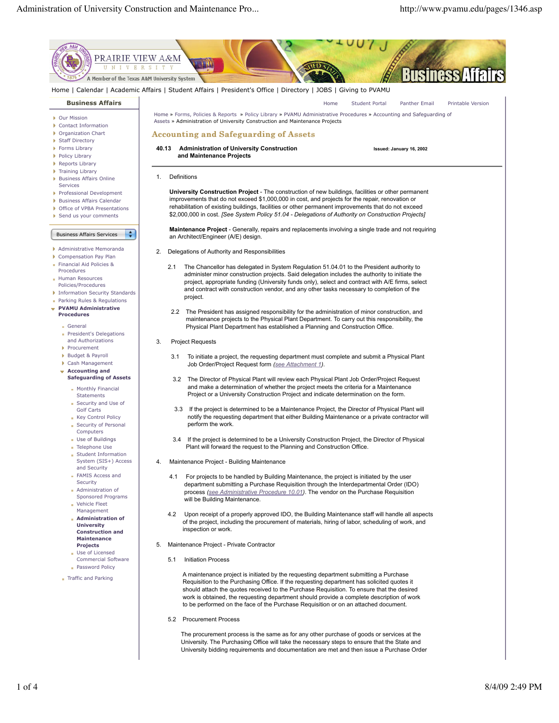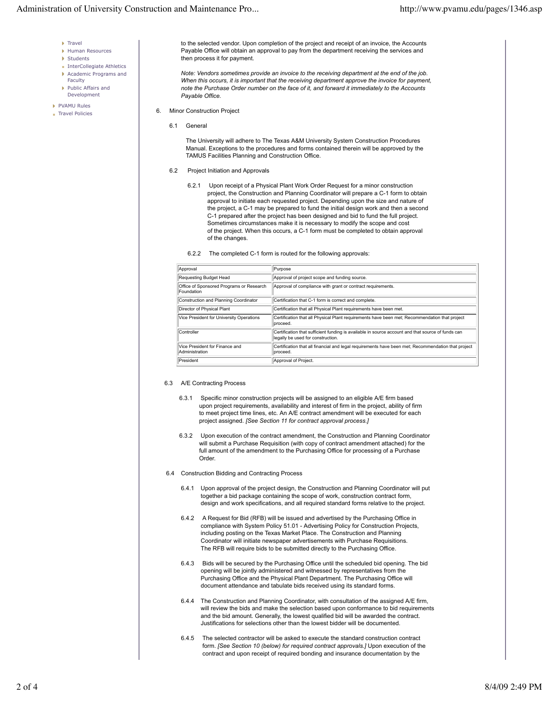- $\triangleright$  Travel
- Human Resources
- **Students**
- **InterCollegiate Athletics**
- Academic Programs and Faculty
- Public Affairs and Development
- PVAMU Rules
- Travel Policies
- *Payable Office.* 6. Minor Construction Project
	- 6.1 General

 The University will adhere to The Texas A&M University System Construction Procedures Manual. Exceptions to the procedures and forms contained therein will be approved by the TAMUS Facilities Planning and Construction Office.

 to the selected vendor. Upon completion of the project and receipt of an invoice, the Accounts Payable Office will obtain an approval to pay from the department receiving the services and

 *Note: Vendors sometimes provide an invoice to the receiving department at the end of the job. When this occurs, it is important that the receiving department approve the invoice for payment, note the Purchase Order number on the face of it, and forward it immediately to the Accounts*

6.2 Project Initiation and Approvals

then process it for payment.

- 6.2.1 Upon receipt of a Physical Plant Work Order Request for a minor construction project, the Construction and Planning Coordinator will prepare a C-1 form to obtain approval to initiate each requested project. Depending upon the size and nature of the project, a C-1 may be prepared to fund the initial design work and then a second C-1 prepared after the project has been designed and bid to fund the full project. Sometimes circumstances make it is necessary to modify the scope and cost of the project. When this occurs, a C-1 form must be completed to obtain approval of the changes.
- 6.2.2 The completed C-1 form is routed for the following approvals:

| Approval                                               | Purpose                                                                                                                                |
|--------------------------------------------------------|----------------------------------------------------------------------------------------------------------------------------------------|
| Requesting Budget Head                                 | Approval of project scope and funding source.                                                                                          |
| Office of Sponsored Programs or Research<br>Foundation | Approval of compliance with grant or contract requirements.                                                                            |
| Construction and Planning Coordinator                  | Certification that C-1 form is correct and complete.                                                                                   |
| Director of Physical Plant                             | Certification that all Physical Plant requirements have been met.                                                                      |
| Vice President for University Operations               | Certification that all Physical Plant requirements have been met; Recommendation that project<br>proceed.                              |
| Controller                                             | Certification that sufficient funding is available in source account and that source of funds can<br>legally be used for construction. |
| Vice President for Finance and<br>Administration       | Certification that all financial and legal requirements have been met; Recommendation that project<br>Iproceed.                        |
| President                                              | Approval of Project.                                                                                                                   |

## 6.3 A/E Contracting Process

- 6.3.1 Specific minor construction projects will be assigned to an eligible A/E firm based upon project requirements, availability and interest of firm in the project, ability of firm to meet project time lines, etc. An A/E contract amendment will be executed for each project assigned. *[See Section 11 for contract approval process.]*
- 6.3.2 Upon execution of the contract amendment, the Construction and Planning Coordinator will submit a Purchase Requisition (with copy of contract amendment attached) for the full amount of the amendment to the Purchasing Office for processing of a Purchase Order.
- 6.4 Construction Bidding and Contracting Process
	- 6.4.1 Upon approval of the project design, the Construction and Planning Coordinator will put together a bid package containing the scope of work, construction contract form, design and work specifications, and all required standard forms relative to the project.
	- 6.4.2 A Request for Bid (RFB) will be issued and advertised by the Purchasing Office in compliance with System Policy 51.01 - Advertising Policy for Construction Projects, including posting on the Texas Market Place. The Construction and Planning Coordinator will initiate newspaper advertisements with Purchase Requisitions. The RFB will require bids to be submitted directly to the Purchasing Office.
	- 6.4.3 Bids will be secured by the Purchasing Office until the scheduled bid opening. The bid opening will be jointly administered and witnessed by representatives from the Purchasing Office and the Physical Plant Department. The Purchasing Office will document attendance and tabulate bids received using its standard forms.
	- 6.4.4 The Construction and Planning Coordinator, with consultation of the assigned A/E firm, will review the bids and make the selection based upon conformance to bid requirements and the bid amount. Generally, the lowest qualified bid will be awarded the contract. Justifications for selections other than the lowest bidder will be documented.
	- 6.4.5 The selected contractor will be asked to execute the standard construction contract form. *[See Section 10 (below) for required contract approvals.]* Upon execution of the contract and upon receipt of required bonding and insurance documentation by the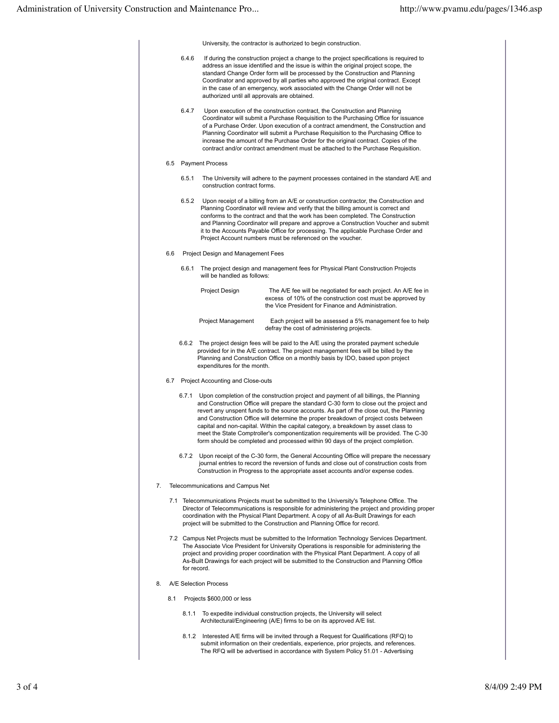University, the contractor is authorized to begin construction.

 6.4.6 If during the construction project a change to the project specifications is required to address an issue identified and the issue is within the original project scope, the standard Change Order form will be processed by the Construction and Planning Coordinator and approved by all parties who approved the original contract. Except in the case of an emergency, work associated with the Change Order will not be authorized until all approvals are obtained. 6.4.7 Upon execution of the construction contract, the Construction and Planning Coordinator will submit a Purchase Requisition to the Purchasing Office for issuance of a Purchase Order. Upon execution of a contract amendment, the Construction and Planning Coordinator will submit a Purchase Requisition to the Purchasing Office to increase the amount of the Purchase Order for the original contract. Copies of the contract and/or contract amendment must be attached to the Purchase Requisition. 6.5 Payment Process 6.5.1 The University will adhere to the payment processes contained in the standard A/E and construction contract forms. 6.5.2 Upon receipt of a billing from an A/E or construction contractor, the Construction and Planning Coordinator will review and verify that the billing amount is correct and conforms to the contract and that the work has been completed. The Construction and Planning Coordinator will prepare and approve a Construction Voucher and submit it to the Accounts Payable Office for processing. The applicable Purchase Order and Project Account numbers must be referenced on the voucher. 6.6 Project Design and Management Fees 6.6.1 The project design and management fees for Physical Plant Construction Projects will be handled as follows: Project Design The A/E fee will be negotiated for each project. An A/E fee in excess of 10% of the construction cost must be approved by the Vice President for Finance and Administration. Project Management Each project will be assessed a 5% management fee to help defray the cost of administering projects. 6.6.2 The project design fees will be paid to the A/E using the prorated payment schedule provided for in the A/E contract. The project management fees will be billed by the Planning and Construction Office on a monthly basis by IDO, based upon project expenditures for the month. 6.7 Project Accounting and Close-outs 6.7.1 Upon completion of the construction project and payment of all billings, the Planning and Construction Office will prepare the standard C-30 form to close out the project and revert any unspent funds to the source accounts. As part of the close out, the Planning and Construction Office will determine the proper breakdown of project costs between capital and non-capital. Within the capital category, a breakdown by asset class to meet the State Comptroller's componentization requirements will be provided. The C-30 form should be completed and processed within 90 days of the project completion. 6.7.2 Upon receipt of the C-30 form, the General Accounting Office will prepare the necessary journal entries to record the reversion of funds and close out of construction costs from Construction in Progress to the appropriate asset accounts and/or expense codes. 7. Telecommunications and Campus Net 7.1 Telecommunications Projects must be submitted to the University's Telephone Office. The Director of Telecommunications is responsible for administering the project and providing proper coordination with the Physical Plant Department. A copy of all As-Built Drawings for each project will be submitted to the Construction and Planning Office for record. 7.2 Campus Net Projects must be submitted to the Information Technology Services Department. The Associate Vice President for University Operations is responsible for administering the project and providing proper coordination with the Physical Plant Department. A copy of all As-Built Drawings for each project will be submitted to the Construction and Planning Office for record. 8. A/E Selection Process 8.1 Projects \$600,000 or less 8.1.1 To expedite individual construction projects, the University will select Architectural/Engineering (A/E) firms to be on its approved A/E list. 8.1.2 Interested A/E firms will be invited through a Request for Qualifications (RFQ) to submit information on their credentials, experience, prior projects, and references. The RFQ will be advertised in accordance with System Policy 51.01 - Advertising